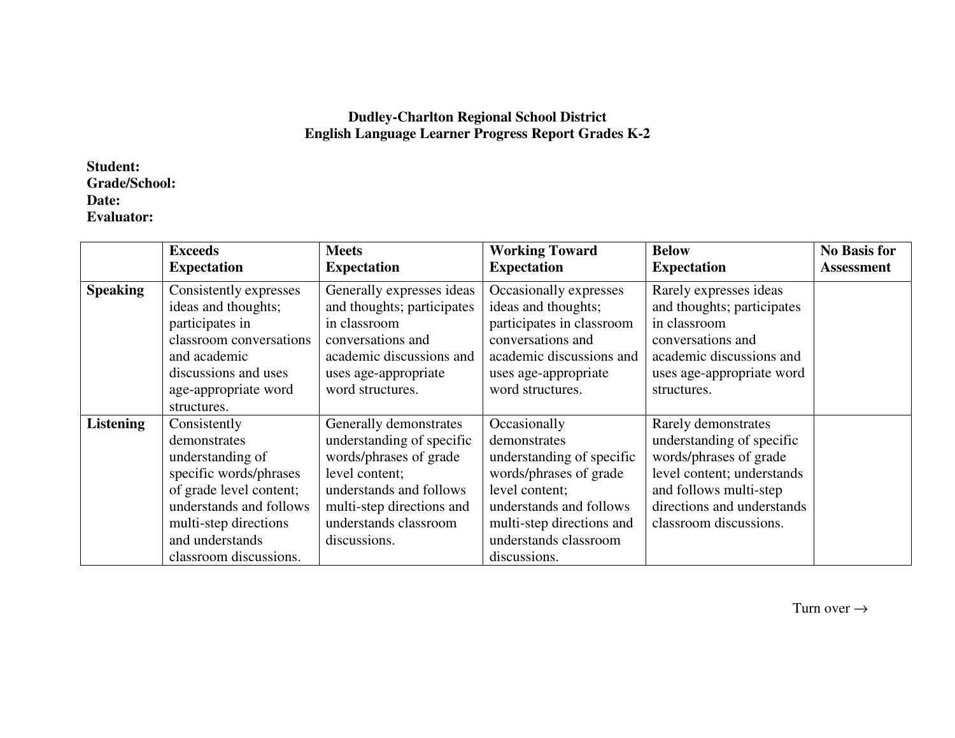## **Dudley-Charlton Regional School District English Language Learner Progress Report Grades K-2**

## **Student: Grade/School: Date: Evaluator:**

|                  | <b>Exceeds</b><br><b>Expectation</b>                                                                                                                                                                   | <b>Meets</b><br><b>Expectation</b>                                                                                                                                                               | <b>Working Toward</b><br><b>Expectation</b>                                                                                                                                                            | <b>Below</b><br><b>Expectation</b>                                                                                                                                                         | <b>No Basis for</b><br><b>Assessment</b> |
|------------------|--------------------------------------------------------------------------------------------------------------------------------------------------------------------------------------------------------|--------------------------------------------------------------------------------------------------------------------------------------------------------------------------------------------------|--------------------------------------------------------------------------------------------------------------------------------------------------------------------------------------------------------|--------------------------------------------------------------------------------------------------------------------------------------------------------------------------------------------|------------------------------------------|
| <b>Speaking</b>  | Consistently expresses<br>ideas and thoughts;<br>participates in<br>classroom conversations<br>and academic<br>discussions and uses<br>age-appropriate word<br>structures.                             | Generally expresses ideas<br>and thoughts; participates<br>in classroom<br>conversations and<br>academic discussions and<br>uses age-appropriate<br>word structures.                             | Occasionally expresses<br>ideas and thoughts;<br>participates in classroom<br>conversations and<br>academic discussions and<br>uses age-appropriate<br>word structures.                                | Rarely expresses ideas<br>and thoughts; participates<br>in classroom<br>conversations and<br>academic discussions and<br>uses age-appropriate word<br>structures.                          |                                          |
| <b>Listening</b> | Consistently<br>demonstrates<br>understanding of<br>specific words/phrases<br>of grade level content;<br>understands and follows<br>multi-step directions<br>and understands<br>classroom discussions. | Generally demonstrates<br>understanding of specific<br>words/phrases of grade<br>level content;<br>understands and follows<br>multi-step directions and<br>understands classroom<br>discussions. | Occasionally<br>demonstrates<br>understanding of specific<br>words/phrases of grade<br>level content;<br>understands and follows<br>multi-step directions and<br>understands classroom<br>discussions. | Rarely demonstrates<br>understanding of specific<br>words/phrases of grade<br>level content; understands<br>and follows multi-step<br>directions and understands<br>classroom discussions. |                                          |

Turn over  $\rightarrow$